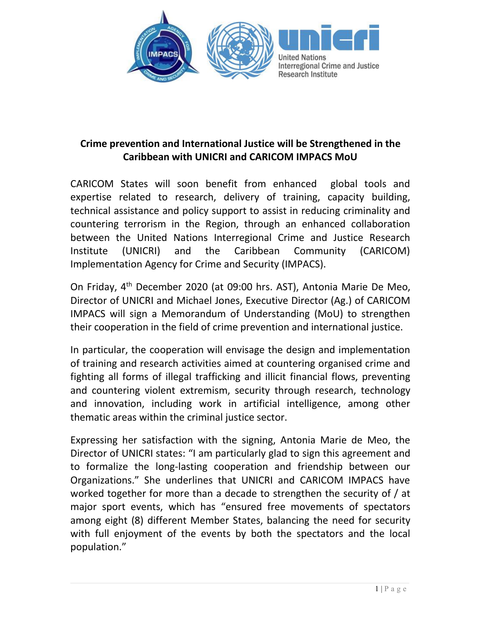

# **Crime prevention and International Justice will be Strengthened in the Caribbean with UNICRI and CARICOM IMPACS MoU**

CARICOM States will soon benefit from enhanced global tools and expertise related to research, delivery of training, capacity building, technical assistance and policy support to assist in reducing criminality and countering terrorism in the Region, through an enhanced collaboration between the United Nations Interregional Crime and Justice Research Institute (UNICRI) and the Caribbean Community (CARICOM) Implementation Agency for Crime and Security (IMPACS).

On Friday, 4<sup>th</sup> December 2020 (at 09:00 hrs. AST), Antonia Marie De Meo, Director of UNICRI and Michael Jones, Executive Director (Ag.) of CARICOM IMPACS will sign a Memorandum of Understanding (MoU) to strengthen their cooperation in the field of crime prevention and international justice.

In particular, the cooperation will envisage the design and implementation of training and research activities aimed at countering organised crime and fighting all forms of illegal trafficking and illicit financial flows, preventing and countering violent extremism, security through research, technology and innovation, including work in artificial intelligence, among other thematic areas within the criminal justice sector.

Expressing her satisfaction with the signing, Antonia Marie de Meo, the Director of UNICRI states: "I am particularly glad to sign this agreement and to formalize the long-lasting cooperation and friendship between our Organizations." She underlines that UNICRI and CARICOM IMPACS have worked together for more than a decade to strengthen the security of / at major sport events, which has "ensured free movements of spectators among eight (8) different Member States, balancing the need for security with full enjoyment of the events by both the spectators and the local population."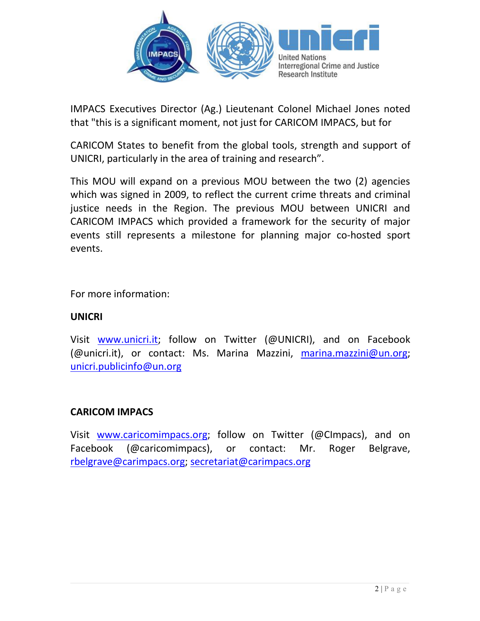

IMPACS Executives Director (Ag.) Lieutenant Colonel Michael Jones noted that "this is a significant moment, not just for CARICOM IMPACS, but for

CARICOM States to benefit from the global tools, strength and support of UNICRI, particularly in the area of training and research".

This MOU will expand on a previous MOU between the two (2) agencies which was signed in 2009, to reflect the current crime threats and criminal justice needs in the Region. The previous MOU between UNICRI and CARICOM IMPACS which provided a framework for the security of major events still represents a milestone for planning major co-hosted sport events.

For more information:

### **UNICRI**

Visit [www.unicri.it;](http://www.unicri.it) follow on Twitter (@UNICRI), and on Facebook (@unicri.it), or contact: Ms. Marina Mazzini, [marina.mazzini@un.org;](mailto:marina.mazzini@un.org) [unicri.publicinfo@un.org](mailto:unicri.publicinfo@un.org)

## **CARICOM IMPACS**

Visit [www.caricomimpacs.org;](http://www.caricomimpacs.org) follow on Twitter (@CImpacs), and on Facebook (@caricomimpacs), or contact: Mr. Roger Belgrave, [rbelgrave@carimpacs.org;](mailto:rbelgrave@carimpacs.org) [secretariat@carimpacs.org](mailto:secretariat@carimpacs.org)